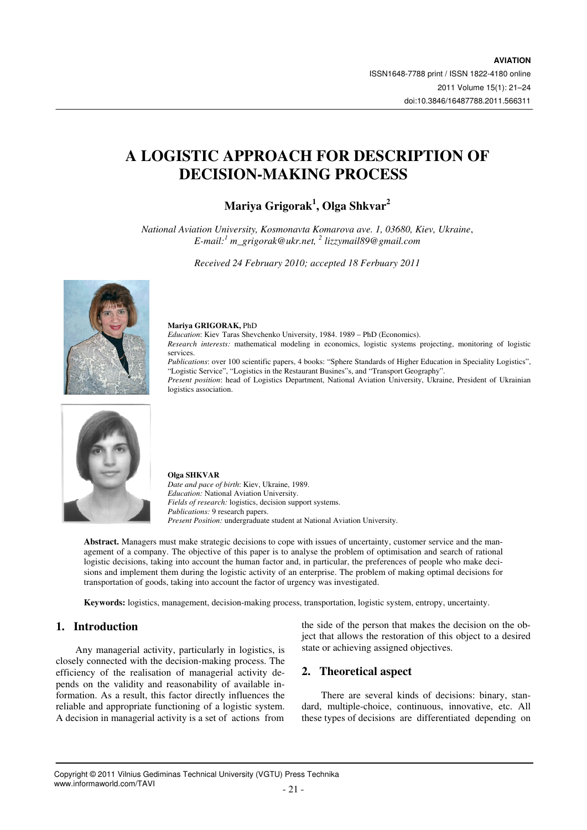# **A LOGISTIC APPROACH FOR DESCRIPTION OF DECISION-MAKING PROCESS**

## **Mariya Grigorak<sup>1</sup> , Olga Shkvar<sup>2</sup>**

*National Aviation University, Kosmonavta Komarova ave. 1, 03680, Kiev, Ukraine*, *E-mail:<sup>1</sup> m\_grigorak@ukr.net, <sup>2</sup> lizzymail89@gmail.com* 

*Received 24 February 2010; accepted 18 Ferbuary 2011* 



### **Mariya GRIGORAK,** PhD

*Education*: Kiev Taras Shevchenko University, 1984. 1989 – PhD (Economics). *Research interests:* mathematical modeling in economics, logistic systems projecting, monitoring of logistic services.

*Publications*: over 100 scientific papers, 4 books: "Sphere Standards of Higher Education in Speciality Logistics", "Logistic Service", "Logistics in the Restaurant Busines"s, and "Transport Geography".

*Present position*: head of Logistics Department, National Aviation University, Ukraine, President of Ukrainian logistics association.



**Olga SHKVAR**  *Date and pace of birth*: Kiev, Ukraine, 1989. *Education:* National Aviation University. *Fields of research:* logistics, decision support systems. *Publications:* 9 research papers. *Present Position:* undergraduate student at National Aviation University.

Abstract. Managers must make strategic decisions to cope with issues of uncertainty, customer service and the management of a company. The objective of this paper is to analyse the problem of optimisation and search of rational logistic decisions, taking into account the human factor and, in particular, the preferences of people who make decisions and implement them during the logistic activity of an enterprise. The problem of making optimal decisions for transportation of goods, taking into account the factor of urgency was investigated.

**Keywords:** logistics, management, decision-making process, transportation, logistic system, entropy, uncertainty.

## **1. Introduction**

Any managerial activity, particularly in logistics, is closely connected with the decision-making process. The efficiency of the realisation of managerial activity depends on the validity and reasonability of available information. As a result, this factor directly influences the reliable and appropriate functioning of a logistic system. A decision in managerial activity is a set of actions from

the side of the person that makes the decision on the object that allows the restoration of this object to a desired state or achieving assigned objectives.

## **2. Theoretical aspect**

There are several kinds of decisions: binary, standard, multiple-choice, continuous, innovative, etc. All these types of decisions are differentiated depending on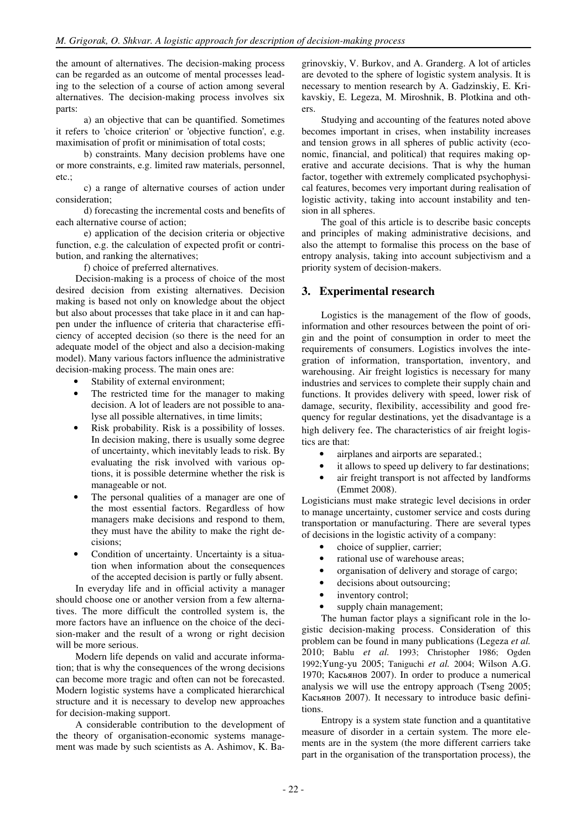the amount of alternatives. The decision-making process can be regarded as an outcome of mental processes leading to the selection of a course of action among several alternatives. The decision-making process involves six parts:

a) an objective that can be quantified. Sometimes it refers to 'choice criterion' or 'objective function', e.g. maximisation of profit or minimisation of total costs;

b) constraints. Many decision problems have one or more constraints, e.g. limited raw materials, personnel, etc.;

c) a range of alternative courses of action under consideration;

d) forecasting the incremental costs and benefits of each alternative course of action;

e) application of the decision criteria or objective function, e.g. the calculation of expected profit or contribution, and ranking the alternatives;

f) choice of preferred alternatives.

Decision-making is a process of choice of the most desired decision from existing alternatives. Decision making is based not only on knowledge about the object but also about processes that take place in it and can happen under the influence of criteria that characterise efficiency of accepted decision (so there is the need for an adequate model of the object and also a decision-making model). Many various factors influence the administrative decision-making process. The main ones are:

- Stability of external environment;
- The restricted time for the manager to making decision. A lot of leaders are not possible to analyse all possible alternatives, in time limits;
- Risk probability. Risk is a possibility of losses. In decision making, there is usually some degree of uncertainty, which inevitably leads to risk. By evaluating the risk involved with various options, it is possible determine whether the risk is manageable or not.
- The personal qualities of a manager are one of the most essential factors. Regardless of how managers make decisions and respond to them, they must have the ability to make the right decisions;
- Condition of uncertainty. Uncertainty is a situation when information about the consequences of the accepted decision is partly or fully absent.

In everyday life and in official activity a manager should choose one or another version from a few alternatives. The more difficult the controlled system is, the more factors have an influence on the choice of the decision-maker and the result of a wrong or right decision will be more serious.

Modern life depends on valid and accurate information; that is why the consequences of the wrong decisions can become more tragic and often can not be forecasted. Modern logistic systems have a complicated hierarchical structure and it is necessary to develop new approaches for decision-making support.

A considerable contribution to the development of the theory of organisation-economic systems management was made by such scientists as A. Ashimov, K. Bagrinovskiy, V. Burkov, and A. Granderg. A lot of articles are devoted to the sphere of logistic system analysis. It is necessary to mention research by A. Gadzinskiy, E. Krikavskiy, E. Legeza, M. Miroshnik, B. Plotkina and others.

Studying and accounting of the features noted above becomes important in crises, when instability increases and tension grows in all spheres of public activity (economic, financial, and political) that requires making operative and accurate decisions. That is why the human factor, together with extremely complicated psychophysical features, becomes very important during realisation of logistic activity, taking into account instability and tension in all spheres.

The goal of this article is to describe basic concepts and principles of making administrative decisions, and also the attempt to formalise this process on the base of entropy analysis, taking into account subjectivism and a priority system of decision-makers.

## **3. Experimental research**

Logistics is the management of the flow of goods, information and other resources between the point of origin and the point of consumption in order to meet the requirements of consumers. Logistics involves the integration of information, transportation, inventory, and warehousing. Air freight logistics is necessary for many industries and services to complete their supply chain and functions. It provides delivery with speed, lower risk of damage, security, flexibility, accessibility and good frequency for regular destinations, yet the disadvantage is a high delivery fee. The characteristics of air freight logistics are that:

- airplanes and airports are separated.;
- it allows to speed up delivery to far destinations;
- air freight transport is not affected by landforms (Emmet 2008).

Logisticians must make strategic level decisions in order to manage uncertainty, customer service and costs during transportation or manufacturing. There are several types of decisions in the logistic activity of a company:

- choice of supplier, carrier;
- rational use of warehouse areas;
- organisation of delivery and storage of cargo;
- decisions about outsourcing;
- inventory control:
- supply chain management;

The human factor plays a significant role in the logistic decision-making process. Consideration of this problem can be found in many publications (Legeza *et al.* 2010; Bablu *et al.* 1993; Christopher 1986; Ogden 1992;Yung-yu 2005; Taniguchi *et al.* 2004; Wilson A.G. 1970; Касьянов 2007). In order to produce a numerical analysis we will use the entropy approach (Tseng 2005; Касьянов 2007). It necessary to introduce basic definitions.

Entropy is a system state function and a quantitative measure of disorder in a certain system. The more elements are in the system (the more different carriers take part in the organisation of the transportation process), the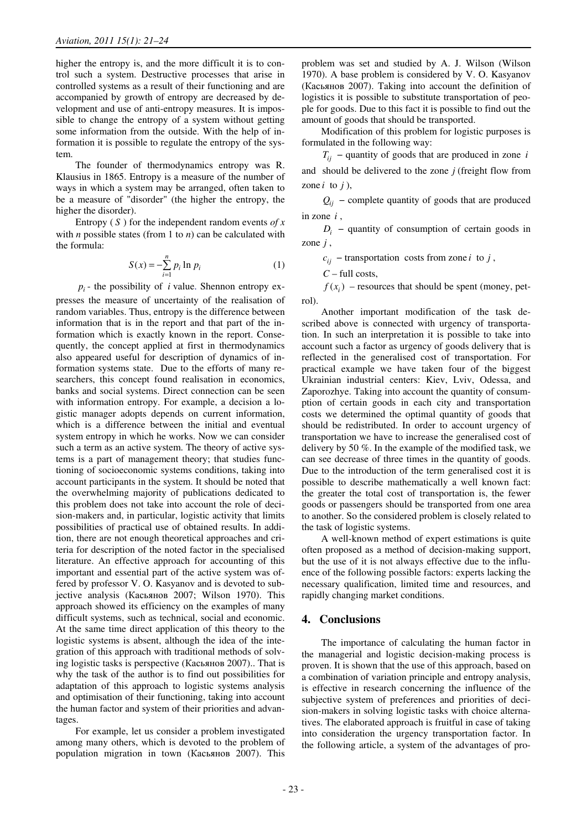higher the entropy is, and the more difficult it is to control such a system. Destructive processes that arise in controlled systems as a result of their functioning and are accompanied by growth of entropy are decreased by development and use of anti-entropy measures. It is impossible to change the entropy of a system without getting some information from the outside. With the help of information it is possible to regulate the entropy of the system.

The founder of thermodynamics entropy was R. Klausius in 1865. Entropy is a measure of the number of ways in which a system may be arranged, often taken to be a measure of "disorder" (the higher the entropy, the higher the disorder).

Entropy ( *S* ) for the independent random events *of x*  with *n* possible states (from 1 to *n*) can be calculated with the formula:

$$
S(x) = -\sum_{i=1}^{n} p_i \ln p_i
$$
 (1)

 $p_i$ - the possibility of *i* value. Shennon entropy ex-

presses the measure of uncertainty of the realisation of random variables. Thus, entropy is the difference between information that is in the report and that part of the information which is exactly known in the report. Consequently, the concept applied at first in thermodynamics also appeared useful for description of dynamics of information systems state. Due to the efforts of many researchers, this concept found realisation in economics, banks and social systems. Direct connection can be seen with information entropy. For example, a decision a logistic manager adopts depends on current information, which is a difference between the initial and eventual system entropy in which he works. Now we can consider such a term as an active system. The theory of active systems is a part of management theory; that studies functioning of socioeconomic systems conditions, taking into account participants in the system. It should be noted that the overwhelming majority of publications dedicated to this problem does not take into account the role of decision-makers and, in particular, logistic activity that limits possibilities of practical use of obtained results. In addition, there are not enough theoretical approaches and criteria for description of the noted factor in the specialised literature. An effective approach for accounting of this important and essential part of the active system was offered by professor V. O. Kasyanov and is devoted to subjective analysis (Касьянов 2007; Wilson 1970). This approach showed its efficiency on the examples of many difficult systems, such as technical, social and economic. At the same time direct application of this theory to the logistic systems is absent, although the idea of the integration of this approach with traditional methods of solving logistic tasks is perspective (Касьянов 2007).. That is why the task of the author is to find out possibilities for adaptation of this approach to logistic systems analysis and optimisation of their functioning, taking into account the human factor and system of their priorities and advantages.

For example, let us consider a problem investigated among many others, which is devoted to the problem of population migration in town (Касьянов 2007). This

problem was set and studied by A. J. Wilson (Wilson 1970). A base problem is considered by V. O. Kasyanov (Касьянов 2007). Taking into account the definition of logistics it is possible to substitute transportation of people for goods. Due to this fact it is possible to find out the amount of goods that should be transported.

Modification of this problem for logistic purposes is formulated in the following way:

 $T_{ij}$  – quantity of goods that are produced in zone *i* and should be delivered to the zone *j* (freight flow from zone  $i$  to  $j$ ),

 $Q_{ii}$  – complete quantity of goods that are produced in zone *i* ,

*D*<sup>*i*</sup> − quantity of consumption of certain goods in zone *j* ,

 $c_{ii}$  − transportation costs from zone *i* to *j*,

*C* – full costs,

 $f(x_i)$  – resources that should be spent (money, petrol).

Another important modification of the task described above is connected with urgency of transportation. In such an interpretation it is possible to take into account such a factor as urgency of goods delivery that is reflected in the generalised cost of transportation. For practical example we have taken four of the biggest Ukrainian industrial centers: Kiev, Lviv, Odessa, and Zaporozhye. Taking into account the quantity of consumption of certain goods in each city and transportation costs we determined the optimal quantity of goods that should be redistributed. In order to account urgency of transportation we have to increase the generalised cost of delivery by 50 %. In the example of the modified task, we can see decrease of three times in the quantity of goods. Due to the introduction of the term generalised cost it is possible to describe mathematically a well known fact: the greater the total cost of transportation is, the fewer goods or passengers should be transported from one area to another. So the considered problem is closely related to the task of logistic systems.

A well-known method of expert estimations is quite often proposed as a method of decision-making support, but the use of it is not always effective due to the influence of the following possible factors: experts lacking the necessary qualification, limited time and resources, and rapidly changing market conditions.

## **4. Conclusions**

The importance of calculating the human factor in the managerial and logistic decision-making process is proven. It is shown that the use of this approach, based on a combination of variation principle and entropy analysis, is effective in research concerning the influence of the subjective system of preferences and priorities of decision-makers in solving logistic tasks with choice alternatives. The elaborated approach is fruitful in case of taking into consideration the urgency transportation factor. In the following article, a system of the advantages of pro